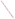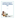# **Quantifying the Disposal of Post-Consumer Architectural Paint**

**April 2007** 

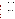### **Quantifying the Disposal of Post-Consumer Architectural Paint**

April 2007

*Prepared for*  Sector Strategies Division Office of Policy, Economics and Innovation U.S. Environmental Protection Agency 1200 Pennsylvania Avenue, N.W. Washington, DC

*Prepared by*  Abt Associates Inc. 55 Wheeler Street Cambridge, MA 02138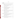| 1. |        |                                                                          |
|----|--------|--------------------------------------------------------------------------|
| 2. |        |                                                                          |
|    |        | MSW - 1999 and 2003 California Statewide Waste Disposal Characterization |
|    |        | HHW - FY1998/1999 and FY2002/2003 California HHW Collection  9           |
|    |        |                                                                          |
|    |        |                                                                          |
|    |        | MSW - 1998 Iowa Solid Waste Characterization Study 11                    |
|    |        |                                                                          |
|    |        |                                                                          |
|    |        |                                                                          |
|    | Oregon | MSW - 2000 and 2002 Oregon Solid Waste Characterization and Composition  |
|    |        |                                                                          |
|    |        |                                                                          |
|    |        |                                                                          |
|    |        | MSW - 2003 Waste Composition Analysis for the State of Washington 19     |
|    |        | HHW - 2003 Washington Moderate Risk Waste Collection 20                  |
|    |        |                                                                          |
|    |        |                                                                          |
|    |        | MSW - 2002 Wisconsin Statewide Waste Characterization Study 21           |
|    |        |                                                                          |

### Contents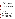# **1. Introduction**

Leftover architectural paint is a concern to communities across the country because of its high volume in the waste stream, resulting waste management costs, and potential for reduction, recovery, reuse and recycling. Leftover paint can also contain volatile organic compounds, fungicides and, in the case of very old paint, significant quantities of hazardous metals such as mercury and lead. Of all household hazardous wastes (HHW), paint is the single most voluminous and expensive material that many local governments collect and manage. To address the challenges of reducing and managing leftover architectural paint, state and local agencies have joined together with paint manufacturers, retailers, recyclers, and others, under the auspices of the Paint Product Stewardship Initiative (PPSI). These stakeholders are now exploring a broad range of issues and approaches to leftover paint management with the goal of working toward a nationally coordinated leftover paint management system. This analysis supports the PPSI by providing an estimate of the quantity of architectural paint disposed annually by consumers in the U.S.

After a consumer has used paint from a particular purchase, any leftover paint may go into one of several disposition pathways. These include:

- ÷ Local municipal solid waste (MSW) landfill or incinerator (in liquid or dried form)
- ۰. Donation/exchange for reuse by another party

۰. Collection, management and disposal as hazardous waste, for example through a household hazardous waste (HHW) collection program

- ÷ Poured down a drain/sewer
- ÷ Stockpiled for future use or disposal (e.g., in a basement or garage)

Because comprehensive national data on the quantities of post-consumer architectural paint going to these pathways is not available, this study examines available data from selected states. Specifically, this report presents case studies from the states of California, Iowa, Oregon, Wisconsin and Washington, each of which has availab le data on the quantity of paint disposed in MSW landfills and incinerators, as well as the quantity brought to HHW collection centers. It is believed that these two major pathways account for the vast majority of post-consumer paint disposed each year. The case studies provide state-specific estimates of the annual quantity of paint that is disposed. These data are then scaled to provide national estimates.

Data on the quantity of post-consumer paint reaching MSW landfills and incinerators were obtained from MSW composition studies that were conducted in the five states. Data on the quantity of post-consumer paint brought to HHW collection sites were gathered directly from HHW program managers, or from published reports, for the annual period that most closely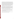corresponded to the year in which the state MSW composition study was conducted. Multiple years of MSW and HHW data were used in developing state-specific estimates, where available, to provide greater stability to the estimates, for a total of seven paired MSW/HHW data sets from the five states. Because of the relatively small quantity (and limited occurrence) of paint in the municipal solid waste stream, and the limited amount of sampling that states have been able to conduct in any individual MSW composition study, the estimates for paint disposal in the municipal solid waste stream in any individual state study are subject to higher error than those items that are more commonly found in the waste stream. Together, however, the seven state studies collectively represent the sorting of more than 4,500 samples of municipal solid waste, with a total sample weight of one million pounds or more. Reliance on the composite results of these seven studies reduces the uncertainty associated with the national estimates.

The national estimates derived in this analysis are intended to update and refine the estimates provided in the 2004 PPSI document entitled "Background Report for the National Dialogue on Paint Product Stewardship." That report estimated that approximately 2.5 to 5 percent of the architectural paint sold in the U.S. each year becomes leftover consumer house paint (PPSI 2004a). The expanded analysis presented here estimates that the amount of architectural paint that is disposed of each year is equivalent to approximately 6 to 16 percent of sales, with a best estimate of 10 percent. The report is comprised of the following sections:

- $\frac{1}{2}$  Section 2 presents available data on the quantity of post-consumer paint disposed at MSW landfills and incinerators, and brought to HHW collection centers in each of the 5 states.
- $\frac{1}{2}$  Data from the state studies is combined in Section 3 to provide national estimates of postconsumer paint disposal. Section 3 also compares the annual quantity of post-consumer paint disposed to annual U.S. paint sales.
- $\div$  Section 4 presents conclusions and opportunities for future research.

Adjustments to state data (for comparability across waste studies and collection programs) and refinements to the national estimate are detailed in *Appendix A*.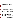# **2. Data Collection**

To estimate the quantity of post-consumer paint disposed annually in each of the five states studied, available data from multiple paint waste streams were examined. This included paint disposed of in municipal solid waste (MSW) landfills and incinerators, as well as paint collected at household hazardous waste (HHW) collection sites. This section presents data from MSW waste composition studies and HHW collection programs from each of the five states.

#### **California**

The California Integrated Waste Management Board (CIWMB) has conducted detailed municipal solid waste characterization studies, and has also compiled statistics on household hazardous waste collection programs around the state. Data on both of these waste streams provide a basis for estimating the total amount of post-consumer paint disposed each year in the state of California.

#### **MSW – 1999 and 2003 California Statewide Waste Disposal Characterization Studies**

CIWMB conducted detailed statewide MSW characterization studies in 1999 and 2003. In most respects, the 2003 *California Statewide Waste Disposal Characterization Study* followed the standards and protocols established for the 1999 *Statewide Waste Disposal Characterization Study*. For example, both studies divide California into five sampling regions (referred to as strata) based on similarities in demographics, climate, geography, and economic characteristics. Also, the definition of "paint" remained the same in both studies. Given that the two studies were conducted over a relatively short time interval, and the methods used for characterizing paint disposed across the state in both studies were relatively consistent, this report considers paint disposal quantities from both statewide studies.

In both the 1999 and 2003 waste characterization studies, several disposal facilities (landfills and transfer stations) were randomly selected (i.e., with equal probability) in each of the five sampling regions as sampling sites for the single-family residential, commercial, and self-hauled waste streams. The number of single-family residential samples collected across all five regions was 148 in the 1999 study and 110 in the 2003 study, while the number of self-hauled samples collected was 247 in the 1999 study and 200 in the 2003 study. In addition, 80 multifamily residential samples were collected from randomly selected apartment buildings and complexes within the geographical areas surrounding the selected disposal sites in 1999 and 40 were collected in 2003. Finally, a total of 1,207 commercial generator samples were collected at randomly selected businesses in 1999, while in 2003, 200 samples were obtained from vehicles at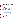disposal facilities as a surrogate for commercial waste. It should be noted that not all MSW in California goes to a MSW landfill. California has three waste-to-energy incinerators that accept MSW. Further, one or two counties export MSW out of state.

To account for seasonal variations in waste disposal patterns, waste sampling was conducted in different seasons. The 1999 study considered two seasons—winter and summer, while the 2003 study was more detailed and also included autumn and spring. Each waste sample was hand sorted and characterized according to material types found in the California Integrated Waste Management Board's Uniform Waste Disposal Characterization Method. The 2003 study increased the number of waste material types it considered; yet all material types were chosen and defined such that they could be fit to the material types used during the 1999 study.

Both of the California waste studies defined paint as containers with paint in them. Paint types included in the definition are latex, oil-based, and tubes of pigment or fine art paint. The definition does not include dried paint, empty paint cans, or empty aerosol containers, which can often be found commingled with other waste types under "remainder/composite construction & demolition" or "tin/steel cans."

Table 1 presents the amount of paint disposed of in landfills or incinerated in California as presented in California's 1999 and 2003 studies. The number of paint samples taken during each study was small; the disposal facilities considered for sampling in each study were selected with equal probability within each region (irrespective of the fact that these facilities could vary in size); and the studies did not employ sampling weights when estimating waste tons. Therefore, data from both studies were combined to generate a best estimate of paint disposed or incinerated in California. Combining these data could add stability to the estimate of paint in the MSW stream in California.

| <b>Waste Category</b> | <b>Quantity (tons)</b> |            |            |  |  |
|-----------------------|------------------------|------------|------------|--|--|
|                       | 1999                   | 2003       | Average    |  |  |
| <b>MSW</b>            | 37,500,002             | 40,235,328 | 38,867,665 |  |  |
| <b>HHW</b>            | 112,385                | 73,600     | 92,993     |  |  |
| Paint                 | 44,498                 | 19,192     | 31,845     |  |  |
| Paint as a % of MSW   | 0.12                   | 0.05       | 0.08       |  |  |
| Paint as a % of HHW   | 40                     | 26         | 34         |  |  |

#### **Table 1. California Statewide Waste Characterization Study Results: 1999 and 2003**

Sources: CIWMB, 1999 and 2003.

The study provides a 90 percent confidence interval for these estimates, even though sampling weights were not used to estimate the totals.

As detailed in Table 1, the amount of paint disposed of in landfills or incinerated in 2003 was nearly 60 percent lower than in 1999. Due to the small number of paint-containing samples considered, a single sample could result in a large variation in disposal quantities. For example,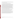the inclusion of a single household that stockpiled large quantities of paint during one year could drive up paint disposal quantities. Averaging data from two study years help reduce the impact of such instances on the overall paint estimate.

#### **HHW – FY1998/1999 and FY2002/2003 California HHW Collection**

Local governments in California are required to keep HHW out of the solid waste stream pursuant to Public Resources Code 47100. They do this by providing both temporary and permanent HHW collection events and facilities, and public education to their residents. Currently, descriptive program information is available for the 1999 study, but not for that conducted in 2003. In fiscal year (FY) 1998/99, 85 permanent HHW collection facilities, 245 temporary facilities/one day events and 107 Recycle-Only facilities<sup>1</sup> were operated. About 50 percent of the state's population had access to permanent facilities, and temporary facilities served about 40 percent of the population. Approximately 10 percent of the state's population had no access to collection opportunities. While the majority of the public had access to HHW collection programs, actual usage may have been lower. Some HHW collection sites may not have been convenient due to location or operating hours. Advertising and outreach is limited by budget constraints (CIWMB, 2001). Based on annual statistics, CIWMB estimates that only approximately 4 percent of residents participate in HHW collection programs each year (CIWMB, 2000).

Local governments are required to report annually the quantity of waste collected by HHW programs and the method of waste management. The quantity of paint collected and the percentage of HHW that was paint during FY1998/99 and FY2002/03 are shown in Table 2. These quantities reflect only those amounts of paint actually *collected* in HHW programs.

The quantity of HHW collected by California programs has grown, as has the percentage of the HHW that is paint, since the programs were first introduced in California in FY1993. In FY1993, approximately 3,000 tons of paint was collected, and paint accounted for 31 percent of all the waste collected at HHW collection centers. By FY2004, paint collection grew to 11,500 tons, or approximately 35 percent of all HHW collected. Data for 1998/99 and 2002/03 are used in this analysis due to availability of corresponding MSW information for those years.

<sup>&</sup>lt;sup>1</sup> Recycle-only facilities are those that receive materials that could potentially be recycled, including latex paint.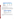| <b>Waste Category</b>                                | Paint (tons) |           |         |  |  |
|------------------------------------------------------|--------------|-----------|---------|--|--|
|                                                      | FY1998/99    | FY2002/03 | Average |  |  |
| Oil-Based Paint                                      | 3,650        | 5.161     | 4,406   |  |  |
| Latex Paint                                          | 3,722        | 5.324     | 4,523   |  |  |
| <b>Total Paint Collected</b>                         | 7,372        | 10,485    | 8,929   |  |  |
| <b>Total HHW Collected</b>                           | 17,247       | 24,750    | 20,998  |  |  |
| <b>Percent of HHW Collected</b><br>that is Paint (%) | 43           | 42        | 43      |  |  |

#### **Table 2. Paint Collected in CA HHW Programs: FY1998/99 and FY2002/03**

Sources: Data received from Anna Ward, CIWMB2004 and Glenn Gallagher, CIWMB, 2006.

#### **Combined Paint Estimate: MSW and HHW**

While it is legal to dispose of dried paint in MSW landfills in California, air drying is not encouraged. Instead, disposal of wet paint at HHW collections is the suggested management method. As shown in Table 3, approximately 78 percent of all of the paint that was disposed of in 1999 and 2003 was disposed in MSW landfills or incinerated. The large percentage of paint in the MSW stream illustrates the importance of including MSW data when estimating the quantity of leftover paint in the United States.

#### **Table 3. Total Leftover Paint in California: Reported Data**

| <b>Disposition Pathway</b> | <b>Total Paint</b><br>$(tons)*$ | <b>Percent of Paint</b><br>by Pathway (%) |
|----------------------------|---------------------------------|-------------------------------------------|
| MSW Landfill/Incineration  | 31,845                          | 78                                        |
| <b>HHW Collection</b>      | 8.940                           | 22                                        |
| Total                      | 40,785                          | 100                                       |

Sources: CIWMB, 1999 and 2003, and data provided by Anna Ward, CIWMB, 2004 and Glenn Gallagher, CIWMB, 2006.

\* Derived by averaging estimates from the 1999 and 2003 statewide waste characterization studies.

In order to use these data to develop a national estimate, California's data were adjusted (for example, to exclude quantities of non-architectural paints), as detailed in *Appendix A (Refinements and Considerations)*. Table 4 presents California's MSW and HHW data after these data refinements.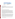| <b>Disposition Pathway</b>          | <b>Total Paint</b><br>(tons) | <b>Refinements</b>                                                                                          |
|-------------------------------------|------------------------------|-------------------------------------------------------------------------------------------------------------|
| <b>MSW</b><br>Landfill/Incineration |                              | * excludes non-architectural paint<br>24,789 $\vert$ * excludes container weight<br>* adds back dried paint |
| <b>HHW Collection</b>               |                              | $8,929$ $*$ none made                                                                                       |
| Total                               | 33,718                       |                                                                                                             |

**Table 4. Total Leftover Paint in California: Adjusted Values** 

#### **Ongoing or Upcoming Studies**

California's 2006 four-part Targeted Statewide Waste Characterization Study was scheduled to be released in the summer of 2006. California collects HHW data annually; the most current year of data available is for FY2004/05. This HHW data was not used because corresponding MSW data was not available.

#### **Iowa**

#### **MSW – 1998 Iowa Solid Waste Characterization Study**

The 1998 statewide solid waste characterization analysis for Iowa was conducted in the fall of 1997 and the spring of 1998. More than 420 samples of MSW were randomly selected from the residential, industrial/commercial/institutional (ICI), and mixed generator loads using various random cell selection processes. Once selected, the materials were sorted into 45 discrete material categories, weighed, and weights were recorded on individual data sheets based on the material classification determined during sorting. Data from these sites (together with data from a previous MSW characterization study conducted within the state) were used to develop waste composition estimates for the 45 material categories, as well as for the residential and ICI waste streams and for statewide totals.

Paint is not defined specifically or quantified individually in this study. Rather, it is included in the "paints and solvents" subcategory, which is part of the broader household hazardous materials (HHM) category. Based on the experience and judgment of two professionals who conduct waste composition studies, paint is estimated to comprise approximately 90 percent of the "paints and solvents" subcategory<sup>2</sup>. Although Table 5 (below) presents the quantity including solvents, this quantity is ultimately excluded from our analysis, as detailed in Table 8. In addition, Table 5 includes the weight of the container when the contents are liquid, while containers with dried

 $2$  Based on conversations and data provided by Tanya Tarnecki of Cascadia Consulting, and Brad Anderson of Sky Valley Associates.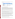| <b>Waste Type</b>                       | <b>Quantity (tons)</b> | <b>Percent of Total</b><br>Waste (%) | <b>Percent of HHM</b><br>(%) |
|-----------------------------------------|------------------------|--------------------------------------|------------------------------|
| Household Hazardous<br><b>Materials</b> | 16.472                 | 0.7                                  | 100.0                        |
| Paint and solvents                      | 2.797                  | 0.1                                  | 17.0                         |
| <b>Total MSW</b>                        | 2,203,848              | 100.0                                |                              |

#### **Table 5. Iowa Statewide Landfill Composition Study Results: 1998**

Source: IA DNR, 1998.

Note: The study notes a 90 percent confidence interval for these estimates.

#### **HHW - FY1998 Iowa Regional HHW Collection**

In FY1998, Regional Collection Centers (RCCs) in Iowa collected over 620 tons of HHW. These facilities accept hazardous materials free of charge from households; they also accept paint and hazardous materials from Conditionally Exempt Small Quantity Generators (CESQGs)<sup>3</sup> for a fee. Consisting of five permanent facilities, the RCCs serviced a population of 789,980 in 1998, and 12,062 households (29,673 people) $4$  and 165 CESQGs brought paint to them. This represented approximately 3.8 percent of all households in the RCC service area (Theresa Stiner, Iowa DNR, 2004).

Latex paint and oil-based paint are two of the most common types of HHW and CESQG waste collected by RCC programs in the state. In 1998, a total of 198 tons of paint were collected by the RCCs, accounting for approximately 32 percent of all the waste collected. Approximately 36 percent of this paint was oil-based and 64 percent was latex.

In areas that did not have access to permanent RCCs, Iowa held 26 Toxic Cleanup Days (TCDs) in FY1998. TCDs are one-day events that accept hazardous materials free of charge from households and farms but charge a fee to CESQGs. In FY1998, 3,243 households participated out of 136,047 households in the counties that held the events, representing approximately 2.4 percent of the households in the area. These events collected 47 tons of paint, which accounted for approximately 40 percent of all the waste collected (Theresa Stiner, Iowa DNR, 2004).

The quantity of paint collected by RCC and TCD programs in Iowa and the percentage of HHW that is paint are shown in Table 6. In Iowa, some paint is weighed in cans and other paint is 'bulked' into 55-gallon drums before being weighed. The sum of the RCC and TCD quantities represents the total amount of HHW that was collected in Iowa for FY1998.

 $3$  As defined by the Resource Conservation and Recovery Act (RCRA).

<sup>&</sup>lt;sup>4</sup> Based on an estimate of 2.46 persons per household in Iowa in 2000 (State Library of Iowa, 2004)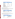| <b>Waste Category</b>                                | <b>RCC Total</b><br>(tons) | <b>TCD Total</b><br>(tons) | <b>HHW Total</b><br>(tons) |
|------------------------------------------------------|----------------------------|----------------------------|----------------------------|
| Bulk oil-based paint                                 | 51                         | <b>NA</b>                  | 51                         |
| Oil-based paint in cans                              | 20                         | NA                         | 20 <sup>°</sup>            |
| Bulk latex paint                                     | 113                        | NA                         | 113                        |
| Latex paint in cans                                  | 14                         | <b>NA</b>                  | 14                         |
| <b>Total bulk paint</b>                              | 164                        | 24                         | 188                        |
| Total paint in cans                                  | 34                         | 23                         | 57                         |
| <b>Total Paint Collected</b>                         | 198                        | 47                         | 245                        |
| <b>Total HHW collected</b>                           | 625                        | 118                        | 743                        |
| <b>Percent of HHW Collected</b><br>that is Paint (%) | 32                         | 40                         | 33 <sup>1</sup>            |

#### **Table 6. Paint Collected at Iowa RCCs and TCDs: FY1998**

Source: data provided by Theresa Stiner, IA DNR, 2004.

NA: Breakdown of oil-based and latex paint data are not available for TCDs.

#### **Combined Paint Estimate: MSW and HHW**

Despite a restriction on landfill disposal of oil-based paint and wet latex paint, a large quantity of paint is disposed of in this manner every year. As shown in Table 7, approximately 92 percent of the paint that was disposed of in Iowa went to MSW landfills.

#### **Table 7. Total Leftover Paint in Iowa: Reported Data**

| <b>Disposition Pathway</b> | <b>Total Paint (tons)</b> | <b>Percent of Paint</b><br>Disposed by Pathway (%) |
|----------------------------|---------------------------|----------------------------------------------------|
| MSW Landfill               | 2.797                     | 92                                                 |
| HHW Collected*             | 245                       | 8                                                  |
| Total                      | 3.042                     | 100                                                |

Sources: IA DNR, 1998; Theresa Stiner, IA DNR, 2004.

\* The HHW quantities reflect the total amount of paint collected at RCCs and TCDs.

In order to use these data to develop a national estimate, Iowa's data were adjusted (for example, to subtract the weight of paint containers), as detailed in *Appendix A*. Table 8 presents Iowa's MSW and HHW data after these data refinements.

#### **Table 8. Total Leftover Paint in Iowa: Adjusted Values**

| <b>Disposition Pathway</b> | <b>Total Paint</b><br>(tons) | <b>Refinements</b>                                                                                     |
|----------------------------|------------------------------|--------------------------------------------------------------------------------------------------------|
| MSW Landfill               |                              | * excludes solvents<br>1,615 $\vert$ * excludes non-architectural paint<br>* excludes container weight |
| <b>HHW Collected</b>       | 234                          | * excludes container weight (from<br>portions that include it)                                         |
| <b>Total</b>               | 1.849                        | ∣ NA                                                                                                   |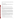As is the case in California, the large percentage of paint going to Iowa MSW landfills emphasizes the importance of including MSW data when estimating the quantity of leftover paint in the United States.

#### **Ongoing or Upcoming Studies**

Although Iowa's 2005 Statewide Waste Characterization Study has been released, it was not available during the preparation of this report, and was therefore not included. The most current year of HHW data available for Iowa is 2005.

#### **Oregon**

#### **MSW – 2000 and 2002 Oregon Solid Waste Characterization and Composition Studies**

The state of Oregon regularly conducts solid waste composition studies as required by state law. Statewide studies were conducted by the Department of Environmental Quality (DEQ) in 1992/93, 1994/95, 1998, 2000, and 2002. This analysis considered the two most recent studies, from 2000 and 2002, for the quantity and composition of paint collected and disposed to landfills or incinerated in Oregon.

To conserve funds, the DEQ conducts "half-studies", using a consistent general methodology. During each of the half study years used for this analysis, 2000 and 2002, the DEQ collected 300 disposal site samples statewide, of which 75 were from the Metro tri-county area. Metro funded an additional 225 Metro-area samples. In addition, samples were collected by the DEQ, Metro, Marion County and the City of Eugene. These extra samples helped increase the precision of the statewide composition estimates. These studies also included contamination analyses (detailed sample analyses), discussed in *Appendix A*.

The 2000 study comprised 591 composition samples in 2 geographic areas – Metro and the "rest of Oregon". The 2002 study collected 844 composition samples in 4 geographic areas – Portland Metro, Marion County, Eugene and the "rest of Oregon." The Metro area alone considered 350 composition samples in 2000 and 349 in 2002. Within each geographic area, representative loads of waste weighing approximately 200 pounds from each load were selected as field samples. The 2000 study considered waste samples from seven "waste substreams:"

 $\pm$  Residential route garbage trucks (over 90 percent of this waste is from single-family or multifamily residences)

- $\div$  Commercial route garbage trucks (over 90 percent of this waste is from businesses)
- $\blacktriangleright$  Mixed route garbage trucks (contains a mixture of residential and commercial wastes)
- $\frac{1}{2}$  Compacting drop boxes (used by individual grocery stores, malls, or other retail operations)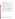$\ddotplus$  Loose drop boxes (used for construction and demolition and for "yard-cleaning" activities)

 $\frac{1}{2}$  Self-haul (wastes hauled directly to the transfer station or landfill by the person or business that generated the waste)

Mixed Solid Waste Processing Facility (MSWPF) residual wastes (wastes leftover for disposal after recoverable materials have been removed at the facility)

In addition to these substreams, the 2002 study considered the following waste substream:

Special Purpose Landfills (mostly collected either at general-purpose landfills or at transfer stations that ship all their waste to general-purpose landfills. In the Metro area however, significant waste amounts were from limited-purpose landfills that prohibit accepting food and other putrescible wastes.)

The number of samples collected from each waste substream depended on the absolute quantity of waste disposed from each substream, and the expected variability of waste in the substream based on past composition studies.

As part of the 2002 study, DEQ also conducted a "contamination analysis" to better characterize the actual quantities of solid waste materials being disposed. This effort was conducted with a goal of developing a "correction factor" for each material, which could then be multiplied by the field data results in order to determine more precisely the amount of each material, excluding contaminants, that was being disposed. The data presented in this section reflect the field data; details on the contamination analysis are presented in *Appendix A*.

According to the 2000 and 2002 DEQ studies, more than 2.7 million tons of MSW were disposed in Oregon in landfills or solid waste burning facilities in each study year. Total MSW generated accounted for 75 percent of statewide solid wastes in 2000 and 73 percent in 2002. $5$  Table 9 presents the amount of MSW paint disposed in Oregon in 2000 and 2002.

<sup>&</sup>lt;sup>5</sup> The remaining portion of solid wastes generated included industrial and other wastes, alternative daily cover, contaminated soils, inerts, asbestos, and septage sludge. Data in this report reflects MSW data and construction and demolition waste excluding pure inerts (for example, concrete).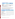#### **Table 9. Paint Disposed in Oregon: 2000 and 2002**

| <b>Waste Type</b>                                |                     | <b>Quantity (tons)</b> | <b>Percent of Other</b> | Percent of                               |                |  |
|--------------------------------------------------|---------------------|------------------------|-------------------------|------------------------------------------|----------------|--|
|                                                  | 2000                | 2002                   | Average                 | <b>Hazardous</b><br><b>Materials (%)</b> | <b>MSW (%)</b> |  |
| Latex Paint                                      | 704                 | 2,489                  | 1.597                   | 9.9                                      | 0.1            |  |
| Oil Paints / Thinners                            | 1,709               | 1,655                  | 1,682                   | 10.4                                     | 0.1            |  |
| <b>Total Paint</b>                               | 2,413               | 4,144                  | 3,279                   | 20.2                                     | 0.1            |  |
| <b>Total Other Hazardous</b><br><b>Materials</b> | 14,047              | 18,346                 | 16,197                  | 100.0                                    | 0.6            |  |
| <b>Total MSW</b>                                 | 2,763,282<br>______ | 2,743,561              | 2,753,422               |                                          | 100.0          |  |

Sources: OR DEQ, 2000 and 2002(a).

Percents are based on averaged "best estimates".

Paint is included in the "Other Hazardous Materials" category.

Quantity of paint landfilled is derived based on the percent of paint in total solid waste.

Paint disposed includes latex paint and oil-based paints and thinners. Based on the experience and judgment of the professionals who conducted this waste composition study, oil paint is estimated to comprise approximately 95 percent of the "oil paints/thinners" subcategory.6 Table 10 presents the breakdown of latex and oil-based paint by waste substream.

#### **Table 10. Paint Disposed in Oregon by Waste Substream: 2000 and 2002**

| <b>Waste Substream</b>                              | Latex (tons) |       | <b>Oil-Based/Thinners</b><br>(tons) |       | <b>Total Paint (tons)</b> |       |         |
|-----------------------------------------------------|--------------|-------|-------------------------------------|-------|---------------------------|-------|---------|
|                                                     | 2000         | 2002  | 2000                                | 2002  | 2000                      | 2002  | Average |
| Residential Garbage Route Trucks                    | 154          | 523   | 373                                 | 348   | 527                       | 871   | 699     |
| <b>Commercial Garbage Route Trucks</b>              | 104          | 357   | 252                                 | 237   | 356                       | 595   | 475     |
| Mixed Garbage Route Trucks                          | 107          | 393   | 261                                 | 261   | 368                       | 654   | 511     |
| <b>Compacting Drop Boxes</b>                        | 47           | 176   | 115                                 | 117   | 162                       | 293   | 227     |
| Loose Drop Boxes                                    | 80           | 247   | 195                                 | 164   | 275                       | 411   | 343     |
| Self-Haul - Regular Landfill or T.S.                | 132          | 509   | 321                                 | 339   | 453                       | 848   | 651     |
| Special Purpose Landfill (hauler & self-<br>haul)   | 43           | 138   | 105                                 | 92    | 149                       | 230   | 189     |
| Residuals: Mixed Solid Waste Processing<br>Facility | 36           | 145   | 87                                  | 96    | 124                       | 241   | 182     |
| <b>Total</b>                                        | 704          | 2,489 | 1,709                               | 1,655 | 2,413                     | 4,144 | 3,278   |

Sources: O R DEQ, 2000 and 2002(a).

Quantity of paint landfilled is derived based on the percent of paint in total solid waste.

<sup>&</sup>lt;sup>6</sup> Based on conversation with Brad Anderson, Sky Valley Associates.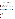#### **HHW – 2000 and 2002 Oregon HHW Collection**

Oregon DEQ's Solid Waste Policy and Program Development Section annually compiles a *Material Recovery and Waste Generation Survey*. Oregon's waste haulers and private recycling companies are required to report the amount collected, county of origin, and markets for all of the recyclable materials they handle. Data on disposed tonnage comes from quarterly or annual disposal fee report forms. Together, recovery and disposal data are used to calculate total waste generation.

In 2000, Oregon recovered 1,223 tons of latex and oil-based HHW paint and in 2002 they recovered 1,586 tons, as shown in Table 11. HHW was recovered from Portland Metro and Oregon DEQ collection programs, garbage haulers across the state, the Knott Landfill (in Deschutes County) and a waste-to-energy plant in Marion County (for 2002 onwards). Not all programs provided data by paint type; of the available data, however, an average of 55 percent of paint was latex paint and 45 percent was oil-based (Peter Spendelow, 2004(b) and 2006(a)). Additional detail of the paint recovered by collection program is also available and has been presented in Table 11. During both years, Portland Metro's HHW collection accounted for an average of 77 percent of the total HHW paint recovered across the state. (Peter Spendelow, 2004(b) and 2006(a)).

| <b>HHW Waste Collection</b>         |           | <b>Latex Paint (tons)</b> |           | <b>Oil-Based Paint (tons)</b> |         | <b>Total Paint (tons)</b> |         |
|-------------------------------------|-----------|---------------------------|-----------|-------------------------------|---------|---------------------------|---------|
|                                     | 2000      | 2002                      | 2000      | 2002                          | 2000    | 2002                      | Average |
| Portland Metro HHW collection       | 571.6     | 660.8                     | 419.1     | 497.0                         | 990.7   | 1,157.8                   | 1,074.2 |
| Garbage haulers (Marion County)*    | <b>NA</b> | 188.7                     | <b>NA</b> | <b>NA</b>                     | 96.0    | 188.7                     | 142.3   |
| Knott Landfill (Deschutes County)   | <b>NA</b> | <b>NA</b>                 | <b>NA</b> | <b>NA</b>                     | 19.8    | 70.2                      | 45.0    |
| DEQ sponsored HHW collection        | 6.2       | 15.2                      | 39.4      | 33.4                          | 45.5    | 48.5                      | 47.0    |
| Other garbage haulers**             | NА        | <b>NA</b>                 | <b>NA</b> | <b>NA</b>                     | 14.6    | 8.0                       | 11.3    |
| Lane County                         | 0         | 0                         | 56.0      | $\Omega$                      | 56.0    | $\Omega$                  | 28.0    |
| Marion County burned (oil-based)*** | $\Omega$  | $\Omega$                  | 0         | $112.6***$                    | 0       | 112.6                     | 56.3    |
| <b>Total HHW Paint</b>              | <b>NA</b> | <b>NA</b>                 | <b>NA</b> | <b>NA</b>                     | 1,222.6 | 1,585.8                   | 1,404.2 |

#### **Table 11. Paint Collected in OR HHW Programs: 2000 and 2002**

Source: Data provided by Peter Spendelow, OR DEQ, 2004(b) and 2006(a).

NA: Breakdown of latex versus oil-based paint is either not collected or not available.

\* Of the 188.7 tons reported, 119 tons were reported by garbage haulers in Marion County and an additional 69 tons were reported by the county.

\*\* Marion county programs collect latex paint only, although it is possible that some oil-based paint is mixed in. (All Marion County's oil-based paint gets burned in their waste-to-energy plant.)

\*\*\* Paint from this source can probably be attributed to HHW collection events sponsored by the garbage haulers or collection at their disposal sites.

\*\*\*\* Tons are an estimate of the amount of oil-based paint burned in the Marion County waste-to-energy plant. Based on a law passed in 2001, Marion County counts certain materials that are burned in their energy recovery facility towards the county recovery rate. These data are not estimated for 2001 and prior years.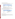#### **Combined Paint Estimate: MSW and HHW**

As in other states, a large quantity of paint is disposed to landfills every year. As shown in Table 12, the majority of disposed paint in Oregon was disposed at landfills.

| <b>Disposition Pathway</b> | <b>Total Paint (tons)</b> | <b>Percent of Paint by</b><br>Disposition Pathway (%) |
|----------------------------|---------------------------|-------------------------------------------------------|
| MSW Landfill               | 3.279                     | 70 I                                                  |
| <b>HHW Collection</b>      | 1.404                     | 30 I                                                  |
| Total                      | 4,683                     | 100                                                   |

#### **Table 12. Total Leftover Paint in Oregon: Reported Data**

Sources: OR DEQ, 2000, 2002(a) and 2002(b), and data provided by Peter Spendelow, OR DEQ, 2004(b) and 2006(a).

Quantity of paint landfilled is derived based on the percent of paint in total solid waste.

Total paint quantities are based on averaged "best estimates".

In order to use these data to develop a national estimate, Oregon's data were adjusted (for example, to exclude thinners from the oil estimates), as detailed in *Appendix A*. Table 13 presents Oregon's MSW and HHW data after these refinements.

|  |  |  |  |  |  | Table 13. Total Leftover Paint in Oregon: Adjusted Values |  |
|--|--|--|--|--|--|-----------------------------------------------------------|--|
|--|--|--|--|--|--|-----------------------------------------------------------|--|

| <b>Disposition Pathway</b> | <b>Total Paint</b><br>(tons) | <b>Refinements</b>                                                                                               |
|----------------------------|------------------------------|------------------------------------------------------------------------------------------------------------------|
| MSW Landfill               | 2,507                        | *excludes thinners<br>*excludes non-architectural paints<br>*excludes container weight<br>*adds back dried paint |
| <b>HHW Collection</b>      | 1.404                        | *none made                                                                                                       |
| <b>Total</b>               | 3.911                        | <b>NA</b>                                                                                                        |

#### **Ongoing or Upcoming Studies**

Oregon's next statewide waste composition study was scheduled to be conducted in 2005 - the same year that statewide and wasteshed recovery goals were to be achieved under Oregon Revised Statute 459A.010. Consistent with past years, the study was to be conducted by the DEQ, with additional sponsorship by Metro.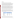#### **Washington**

#### **MSW – 2003 Waste Composition Analysis for the State of Washington**

The composition of solid waste in the State of Washington has been studied several times over the past 15 years. These studies have been conducted on a statewide basis (in 1987 and 1992) or on a more local basis (by various counties and cities). The data from statewide studies prior to 2003 have become outdated by recent advancements in waste diversion programs (recycling and composting in particular) and by ongoing changes in consumer habits, shifts in packaging, and other factors. Therefore, only results for the 2003 study are discussed here.

The *2003 Waste Composition Analysis for the State of Washington* uses data from studies of 10 counties and one city to estimate the quantity and percentage breakdown of 76 material categories making up the solid waste stream of Washington State. In order to extrapolate beyond these 11 jurisdictions to the whole state, the percentage breakdown of the material categories in each of these jurisdictions were applied to the disposal tonnages for other counties with similar demographics. Those figures were then summed to derive a statewide total for each waste category, as well as for residential and commercial sources and the waste stream as a whole.

The statewide analysis focuses on MSW brought to landfills for disposal. Hazardous wastes are not addressed in the analysis, except in cases when these are disposed of with MSW.

Latex paint and oil-based paint are included in the analysis as subcategories within the broader category of hazardous and special waste. Paint quantities include the weight of the container if over 50 percent of the combined weight appeared to be from paint (liquid or dried) (Hlavka, 2006). Table 14 shows the total quantities of MSW, Hazardous and Special Waste, and paint waste going to MSW landfills in Washington.

| <b>Waste Type</b>              | Quantity<br>(tons) | Percent of<br>Total Waste (%) | Percent of<br><b>HSW (%)</b> |
|--------------------------------|--------------------|-------------------------------|------------------------------|
| Hazardous and Special<br>Waste | 50,090             | 0.90                          | 100.0                        |
| Latex Paint                    | 8.250              | 0.15                          | 16.5                         |
| Oil Paint                      | 2,810              | 0.05                          | 5.6                          |
| <b>Total Paint</b>             | 11,060             | 0.20                          | 22.1                         |
| <b>Total MSW</b>               | 5,538,700          | 100.0                         |                              |

#### **Table 14. Washington Statewide Waste Composition Study Results: 2003**

Source: WA ECY, 2003(b).

There is a significant degree of statistical uncertainty associated with the tonnage figures presented in Table 14. These are uncertainties associated with the estimates that were generated for each of the 11 jurisdictions that served as the basis for the statewide waste composition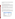analysis. An additional and even larger source of uncertainty results from extrapolating the data from these jurisdictions to other counties, with all of the associated assumptions about similar demographics and other factors. The resulting level of uncertainty cannot be precisely quantified (WA ECY, 2003(b).

#### **HHW – 2003 Washington Moderate Risk Waste Collection**

In 2003, the state of Washington published the *Solid Waste in Washington Twelfth Annual Status Report*, which includes information on moderate risk waste (MRW). MRW is a combination of HHW, CESQG waste, and used oil (UO). HHW is considered waste that was generated in the home, while CESQG is small quantities of business or non-household waste. Both HHW and CESQG waste are exempt from most hazardous waste regulations.

In Washington there are 42 programs that manage MRW. All 39 counties have some sort of MRW program (or access to a MRW program in a neighboring county). Three types of MRW collections operate in the state – permanent facilities, mobile units, and periodic collection events. It is estimated that 6 percent of all households in Washington use collection events and fixed facilities (WA, 2003a).

In 2002, MRW programs in Washington collected over 6,750 tons of HHW, almost 4,600 tons of UO, and over 700 tons of CESQG waste, for a total of nearly 12,150 tons.

Latex paint and oil-based paint are two of the dominant types of HHW and CESQG waste collected in the state. Approximately 44 percent of the paint that is collected as HHW, and approximately 69 percent of the paint that is collected as CESQG waste, is oil-based. The amount of paint collected from households and from CESQGs, and the percentage of MRW that is paint are shown in Table 15.

| <b>Waste Category</b>            | <b>HHW</b><br>(tons) | <b>CESQG</b><br>(tons) | <b>Total</b><br>(tons) |
|----------------------------------|----------------------|------------------------|------------------------|
| Latex Paint                      | 1,342                | 57                     | 1,399                  |
| Latex Paint, Contaminated*       | 428                  | 1                      | 430                    |
| Oil-Based Paint                  | 1.297                | 129                    | 1,425                  |
| <b>Total Paint</b>               | 3,067                | 187                    | 3,254                  |
| <b>Total MRW</b>                 | 6,757                | 698                    | 7,455                  |
| Percent of MRW that is Paint (%) | 45.4                 | 26.7                   | 43.6                   |

**Table 15. Paint Collected in Washington MRW Programs: 2002** 

Source: WA ECY, 2003(a).

\* Latex paint was classified as contaminated when paint containers included anything that made the latex paint un-recyclable; such as: latex paint mixed with solvents, oil-based paints, dirt or garbage, or other unknowns.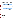#### **Combined Paint Estimate: MSW and HHW**

Despite restrictions on the landfill disposal of paint, a large quantity of paint is disposed of in this manner every year. As shown in Table 16, approximately 77 percent of the paint that was disposed of in Washington in 2002 went to MSW landfills.

| <b>Disposition Pathway</b> | <b>Total Paint (tons)</b> | <b>Percent of Paint by</b><br><b>Disposition Pathway (%)</b> |
|----------------------------|---------------------------|--------------------------------------------------------------|
| HSW in MSW Landfill        | 11,060                    | 77 I                                                         |
| MRW Collection             | 3.254                     | 23                                                           |
| Total                      | 14,314                    | 100                                                          |

#### **Table 16. Total Leftover Paint in Washington: Reported Data**

Sources: WA ECY, 2003(a), and WA ECY, 2003(b).

In order to use these data to develop a national estimate, Washington's data were adjusted (for example, to exclude the weight of containers), as detailed in *Appendix A*. Table 17 presents Washington's MSW and HHW data after these data refinements.

#### **Table 17. Total Leftover Paint in Washington: Adjusted Values**

| <b>Disposition Pathway</b> | <b>Total Paint</b><br>(tons) | <b>Refinements</b>                                                         |
|----------------------------|------------------------------|----------------------------------------------------------------------------|
| HSW in MSW Landfill        |                              | 6,896 $*$ excludes non-architectural paints<br>* excludes container weight |
| <b>MRW Collection</b>      |                              | $3,254$ * none made                                                        |
| <b>Total</b>               | $10,150$ NA                  |                                                                            |

#### **Ongoing or Upcoming Studies**

Resources permitting, the Department of Ecology expects to conduct the next statewide waste composition analysis in 2007/2008, followed by the release of a report in 2009.

#### **Wisconsin**

Wisconsin conducted a statewide waste characterization study in 2002 to estimate the quantity and composition of waste disposed in the state's MSW landfills. In addition, the Environmental Resources Center (ERC) located at University of Wisconsin-Madison, has compiled data for Wisconsin one-day HHW collection programs from 1984 to the present and permanent household collection programs since 1996.

#### **MSW - 2002 Wisconsin Statewide Waste Characterization Study**

As part of the statewide waste characterization study, waste loads at 14 of 36 active MSW landfills (comprising approximately 78 percent of all MSW disposed in the state) located in each of five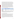distinct geographic regions were randomly selected for sampling. Seasonal variations were accounted for by sampling half of the landfills in summer and half in winter; however, the results were presented as an aggregate for the entire year. Samples were first divided into three distinct substreams—residential, industrial/commercial/institutional (ICI), and construction and demolition (C&D) activities—and then further divided between commercially collected (including private and municipal haulers) and self-hauled waste loads. A total of 400 waste samples (116 residential, 166 ICI, and 118 C&D) were taken from the selected loads and sorted into 64 distinct material categories. Waste tonnages were estimated for the individual landfills, and then composition estimates were calculated at a 90 percent confidence level for the state as a whole and the 5 distinct geographic regions; for residential, ICI, and C&D generators; and for self-hauled and commercially collected wastes. Results from the 14 landfills were aggregated using a weighted averaging technique to develop a statewide estimate for the composition of disposed waste. Paint is characterized as either latex or oil paint. Paint quantities include the weight of the container if over 50 percent of the combined weight appeared to be from paint (liquid or dried) (Tarnecki, 2006). Table 18 shows statewide estimates for total MSW, the HHW portion of that, and latex and oil paint waste for each waste sector (WI DNR, 2003).

| <b>Sector</b>                           | <b>Total MSW</b><br>(tons) | <b>HHW</b><br>(tons) | <b>Latex Paint</b><br>(tons) | <b>Oil Paint</b><br>(tons) | (tons) | <b>Total Paint   Percent of</b><br><b>HHW (%)</b> |
|-----------------------------------------|----------------------------|----------------------|------------------------------|----------------------------|--------|---------------------------------------------------|
| Residential                             | 1,535,679                  | 3.286                | 293                          | 49                         | 342    | 10.4                                              |
| Industrial/Commercial/<br>Institutional | 2,100,198                  | 15,524               | 1.028                        | 411                        | 1.439  | 93.0                                              |
| Construction &<br>Demolition            | 1,116,341                  | 7.345                | 5.667                        | 635                        | 6.302  | 85.5                                              |
| <b>Total Waste</b>                      | 4,752,218                  | 26,155               | 6,988                        | 1.095                      | 8.083  | 30.9                                              |

#### **Table 18. Wisconsin Statewide Waste Characterization Study Results: 2002**

Source: WI DNR, 2003

Note: Latex paint is estimated to be 0.1 percent of total MSW, with 90 percent confidence that it is between 0.00 and 0.3 percent. For oil paint, the study notes a 90 percent confidence interval, however because oil paint is a very small percentage of the total waste stream, and because numbers are rounded, the upper and lower confidence limits of the 90 percent confidence interval for oil paint are the same as the estimate.

#### **HHW – 2001 Wisconsin HHW Collection**

Wisconsin collects HHW through both permanent and one-day collection programs. Although the number of permanent programs has been growing since 1996, the number of one-day programs fluctuates annually based on funding. In 2001, there were 12 permanent programs and 9 one-day programs. ERC distributes annual surveys to collect data from these programs. For the permanent programs, the survey breaks down the waste by type (e.g., pesticides, latex paint, lead/oil paint, etc.); the one-day programs are only asked to report the total volume of HHW collected. The most recent year for which complete waste data are available for the permanent and one-day programs is 2001, with the exception of Milwaukee County, which is only complete to 2000. Tables 19 and 20 show the HHW collection data by county for the permanent and one-day programs, respectively.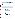| County                | <b>Total HHW</b><br>(tons) | Lead/Oil Paint<br>(tons) | <b>Latex Paint</b><br>(tons) | <b>Total Paint</b><br>(tons) | Percent of<br>$HHW$ (%) |
|-----------------------|----------------------------|--------------------------|------------------------------|------------------------------|-------------------------|
| <b>Brown</b>          | 212.5                      | 77.5                     | 65.5                         | 143.0                        | 67                      |
| Dane                  | 230.0                      | 59.4                     | 105.4                        | 164.8                        | 72                      |
| Kenosha               | 10.3                       |                          |                              |                              |                         |
| Marathon              | 19.9                       |                          |                              |                              |                         |
| Milwaukee (2000 data) | 417.6                      | 139.0                    | 182.1                        | 321.1                        | 77                      |
| NWRPC*                | 98.0                       |                          |                              |                              |                         |
| Oneida                | 32.2                       |                          | 19.2                         | 19.2                         | 60                      |
| Ozaukee               | 11.0                       |                          |                              |                              |                         |
| Sheboygan             | 18.6                       | 7.5                      | $\overline{\phantom{0}}$     | 7.5                          | 40                      |
| Waukesha**            | 121.2                      |                          |                              |                              |                         |
| Waupaca               | 0.59                       |                          | $\qquad \qquad$              |                              |                         |
| Winnebago             | 10.3                       | 6.7                      |                              | 6.7                          | 65                      |
| Total                 | 1,182.2                    | 290.1                    | 372.2                        | 662.3                        | 56                      |

**Table 19. Wisconsin HHW Collected by Permanent Programs: 2001** 

Source: ERC, 2004

Note: Some counties did not report quantities of waste that was paint.

\*Northwest Regional Planning Commission (NWRPC) is a group of 10 counties that collect and report on HHW as a cooperative group.

\*\*Includes data for the Superior Emerald Park Landfill (SEPL), which is in Waukesha County but reported separately in 2001; these two facilities began reporting a combined value in 2003.

| County      | <b>Total HHW (tons)</b> |
|-------------|-------------------------|
| Chippewa    | 16.5                    |
| Fau Claire  | 24.8                    |
| Green       | 11.9                    |
| Iowa        | 3.3                     |
| Langlade*   | 12.0                    |
| Menominee   | 4.0                     |
| Racine      | 3.5                     |
| Trempeleau  | 2.0                     |
| Washington* | 5.2                     |
| Total       | 83.2                    |

#### **Table 20. Wisconsin HHW Collected by One-Day Programs: 2001**

Source: ERC, 2004

\*These counties reported waste in pounds (6,618; 7,304) and gallons (4,290; 775). The totals represent the (pounds + (gallons\*4))/2000, assuming the gallon containers are half full.

Of the 12 permanent programs, 10 reported that they collected lead/oil paint, but only 5 reported the quantities of lead/oil paint collected. Reporting on lead/oil paint quantities was more complete than for latex paint. Four of the permanent programs reported the quantity of latex paint collected.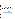The statistical method of ratio estimation was used in this report to estimate the total amount of paint that goes to HHW collection programs annually in Wisconsin. This uses the available data on paint quantities to scale up and provide a statewide estimate of paint waste. The total estimated amount of lead/oil paint was calculated by dividing the total weight of lead/oil paint collected by permanent programs by the total weight of HHW collected by permanent programs that reported a lead/oil paint quantity. This value was multiplied by the total HHW (permanent and one-day) collected in the state to provide an estimated volume of lead/oil paint that would be collected statewide:

 $\frac{291 \text{ tons} \text{ Pb}/\text{oil} \text{ paint}}{4 (84 \text{ tons} \text{ HHW} + 1183 \text{ tons} \text{ HHW})} = 415 \text{ tons} \text{ Pb}/\text{oil} \text{ paint} \text{ statewide}$ 

```
889 tons HHW
```
The same methodology was applied to estimate the volume of latex paint that would be collected statewide:

```
\frac{372 \text{ tons} \text{ later}}{4} * (84 tons HHW + 1183 tons HHW) = 528 tons latex paint statewide
892 tons HHW
```
This shows a total estimated weight of paint that would be collected by HHW programs annually to be 943 tons. This is the amount of paint *projected* to be collected statewide, for illustration purposes. However, the *actual* paint collected based on available county data is used in this analysis.

#### **Combined Paint Estimate: MSW and HHW**

The majority of the paint disposed of in Wisconsin (92 percent) goes to MSW landfills.

| <b>Disposition Pathway</b> | <b>Total Paint (tons)</b> | <b>Percent of Paint by</b><br><b>Disposition Pathway (%)</b> |
|----------------------------|---------------------------|--------------------------------------------------------------|
| MSW Landfill               | 8,083                     | 921                                                          |
| <b>HHW Collection</b>      | $662*$                    |                                                              |
| <b>Total</b>               | 8,745                     | 100                                                          |

| Table 21. Total Leftover Paint in Wisconsin: Reported Data |  |  |
|------------------------------------------------------------|--|--|
|------------------------------------------------------------|--|--|

Sources: WI DNR, 2003; ERC, 2004

\*Actual paint collected by permanent programs only.

In order to use these data to develop a national estimate, Wisconsin's data were adjusted (for example, to exclude non-architectural paint), as detailed in *Appendix A*. Table 22 presents Wisconsin's MSW and HHW data after these data refinements.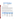#### **Table 22. Total Leftover Paint in Wisconsin: Adjusted Values**

| <b>Disposition Pathway</b> | <b>Total Paint</b><br>(Tons) | <b>Refinements</b>                                                                                                |  |  |
|----------------------------|------------------------------|-------------------------------------------------------------------------------------------------------------------|--|--|
| MSW Landfill               |                              | * excludes non-architectural paints<br>6,519 $\vert$ * excludes container weight<br>* adds back dried latex paint |  |  |
| <b>HHW Collection</b>      |                              | $662^*$ * none made                                                                                               |  |  |
| Total                      | $7,181$ NA                   |                                                                                                                   |  |  |

Sources: WI DNR, 2003; ERC, 2004

\*Actual paint collected by permanent programs only.

### **Summary of State MSW Studies**

The state MSW composition studies used in this report rely on similar statistical sampling and sorting procedures and other similar methodological techniques to characterize the municipal solid waste stream. Thus, there is some methodological consistency among the studies. Similarities as well as differences in definitions, assumptions, and waste sorting procedures have been identified in this report and are summarized here. The differences have been carefully examined so that adjustments could be made for normalization across states.

The table below summarizes the key differences and adjustments carried out to make the state MSW data comparable. For further detail, refer to *Appendix A*. For HHW, definitions and calculation methods were generally found to be comparable across state studies, with the exception of Iowa, which weighed bulk paint along with paint in containers. Consequently, Iowa was the only state where adjustments were made to HHW data, i.e., to exclude container weight.

| <b>State</b> | Definition of<br>"paint" includes<br>latex & oil only? | <b>Container weight</b><br>included in "paint"<br>weight? | Dried latex paint<br>included in "paint"<br>weight? | Non-Architectural<br>paint included in<br>"paint" weight? |
|--------------|--------------------------------------------------------|-----------------------------------------------------------|-----------------------------------------------------|-----------------------------------------------------------|
| California   | Yes                                                    | Yes: Adjusted<br>(to exclude)                             | No: Adjusted<br>(to add-back)                       | Yes: Adjusted<br>(to exclude)                             |
| lowa         | No: Adjusted<br>(to exclude solvents)                  | Yes: Adjusted<br>(to exclude)                             | Yes                                                 | Yes: Adjusted<br>(to exclude)                             |
| Oregon       | No: Adjusted<br>(to exclude thinners)                  | Yes: Adjusted<br>(to exclude)                             | No: Adjusted<br>(to add-back)                       | Yes: Adjusted<br>(to exclude)                             |
| Washington   | Yes                                                    | Yes: Adjusted<br>(to exclude)                             | Yes                                                 | Yes: Adjusted<br>(to exclude)                             |
| Wisconsin    | Yes                                                    | Yes: Adjusted<br>(to exclude)                             | No: Adjusted<br>(to add-back)                       | Yes: Adjusted<br>(to exclude)                             |

#### **Table 23: Comparing State MSW Studies**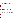# **3. National Estimates of Paint Disposal**

This section presents estimates of the total quantity of post-consumer architectural paint sent to municipal solid waste (MSW) landfills and incinerators, and collected by household hazardous waste (HHW) programs in the United States. National estimates have been derived based on data from the 5 states discussed in Section 2. The data from these states have been adjusted to account for three key factors (non-architectural paint, container weight, and dried latex paint), as discussed in detail in *Appendix A*. In addition to presenting national estimates of the total amount of post-consumer paint disposed of each year as MSW and HHW, this section also presents estimates of the relative proportion of the discarded paint that is latex versus oil-based. Finally, the quantity of paint disposed of each year is compared with the quantity of paint purchased.

National estimates of the total quantity of paint disposed of each year can be derived in two ways:

- $\ddot{+}$  By using data from each state to individually project to national levels; or
- $\frac{1}{\sqrt{1-\epsilon}}$  By combining data from all the states to generate a pooled estimate.

The first method provides a broad range for the national estimate, based on data for each individual state. Each of the national estimates thus obtained assumes that the individual state estimate can be reasonably projected to the national level. However, states differ in characteristics that can impact the estimated totals. Thus, we also present a national estimate that pools the results for the five states.

The following table presents estimates of the quantity of post-consumer paint disposed by state, based on MSW composition data, HHW collection data, and U.S. Census data on population (all ages included in the counts) and households, for each state and for the nation as a whole. Each state-level estimate is then extrapolated to the national level based on the state's percentage of U.S. population and households. Similar estimates can also be based on sales of architectural coatings; however, state-specific architectural coatings sales data are not available, with the exception of the state of California.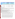|                               | Percent of U.S.<br>(%)                                                           |                 |                          | <b>Estimated Quantity of Paint</b><br><b>Disposed Within State</b><br>$(1,000$ Gallons) |                                               |        | <b>Estimated Quantity of Paint Disposed</b><br>Nationally (1,000 Gallons),<br><b>Extrapolated Based On:</b> |            |                                                                                                                                                                                                                                                                                                                                                                                                                                |
|-------------------------------|----------------------------------------------------------------------------------|-----------------|--------------------------|-----------------------------------------------------------------------------------------|-----------------------------------------------|--------|-------------------------------------------------------------------------------------------------------------|------------|--------------------------------------------------------------------------------------------------------------------------------------------------------------------------------------------------------------------------------------------------------------------------------------------------------------------------------------------------------------------------------------------------------------------------------|
| <b>State</b>                  | House-<br>holds                                                                  | Pop-<br>ulation | Sales*                   | <b>HHW</b><br><b>Collection</b>                                                         | <b>MSW</b><br>Disposed/<br><b>Incinerated</b> | Total  | <b>Households</b>                                                                                           | Population | Sales*                                                                                                                                                                                                                                                                                                                                                                                                                         |
|                               | [A]                                                                              | [B]             | [C]                      | [D]                                                                                     | [E]                                           | [F]    | [G]                                                                                                         | [H]        | $[!]% \centering \subfloat[\centering]{{\includegraphics[width=0.22\textwidth]{figs-pr2.png}}}% \qquad \subfloat[\centering]{{\includegraphics[width=0.22\textwidth]{figs-pr2.png}}}% \caption{The 3D (top) and the 4D (bottom) of the 3D (bottom) and the 5D (bottom) of the 3D (bottom) of the 3D (bottom) of the 3D (bottom) of the 3D (bottom). The 3D (bottom) and the 3D (bottom) of the 3D (bottom).} \label{fig:pyr2}$ |
| California                    | 10.91                                                                            | 12.04           | 13.66                    | 2,036                                                                                   | 5,128                                         | 7,165  | 65,698                                                                                                      | 59,526     | 52,460                                                                                                                                                                                                                                                                                                                                                                                                                         |
| lowa                          | 1.09                                                                             | 1.04            |                          | 51                                                                                      | 334                                           | 385    | 35,312                                                                                                      | 37,001     |                                                                                                                                                                                                                                                                                                                                                                                                                                |
| Oregon                        | 1.26                                                                             | 1.22            | $\overline{\phantom{a}}$ | 303                                                                                     | 518                                           | 821    | 64,896                                                                                                      | 67,495     |                                                                                                                                                                                                                                                                                                                                                                                                                                |
| Washington                    | 2.15                                                                             | 2.09            | $\overline{\phantom{a}}$ | 728                                                                                     | 1,426                                         | 2,154  | 100,042                                                                                                     | 102,859    |                                                                                                                                                                                                                                                                                                                                                                                                                                |
| Wisconsin                     | 1.98                                                                             | 1.91            | $\overline{\phantom{a}}$ | 143                                                                                     | 1,347                                         | 1,490  | 75,372                                                                                                      | 78,153     |                                                                                                                                                                                                                                                                                                                                                                                                                                |
| <b>All States</b><br>Combined | 17.39                                                                            | 18.29           | ۰                        | 3,261                                                                                   | 8,753                                         | 12,014 | 69,088                                                                                                      | 65,678     |                                                                                                                                                                                                                                                                                                                                                                                                                                |
|                               | Calculations will not match due to rounding.<br>eteh ateta hatarrihe aaternamaal |                 |                          |                                                                                         |                                               |        |                                                                                                             |            |                                                                                                                                                                                                                                                                                                                                                                                                                                |

#### **Table 24. Estimated Quantity of Post-Consumer Architectural Paint Disposed Annually in the U.S.**

Incorporates adjusted state data.

**Sources:** U.S. Census Bureau, 2000(a); U.S. Census Bureau, 2000(b); CARB, 2003; CIWMB, 2004; data provided by Anna Ward, CIWMB, 2004, IA DNR, 1998; data provided by Theresa Stiner, IA DNR, 2004; OR DEQ, 2002(a); data provided by Peter Spendelow, OR DEQ, 2004(b); OR DEQ, 2002(b); WA ECY, 2003(a), and WA ECY, 2003(b).

Notes: Paint quantities were converted from tons to gallons, assuming an average weight of 10.5 lbs/gallon for latex and 7.5 lbs/gallon for oil-based paint.

#### **Calculations:**

A. Based on 105 million households in the U.S. according to U.S. Census Bureau, 2000(a).

B. Based on a population of 281 million in the U.S. according to U.S. Census Bureau, 2000(b).

C. Based on architectural coatings sales of 661 million gallons in the U.S. according to U.S. Census Bureau data (derived, U.S. Census Bureau, 1994-2004). Sales data are not available, except for California, which is for 2000.

D. Quantities of paint collected in HHW programs in this state (quantities were converted from tons to gallons assuming an average weight of 10.5 lbs/gallon for latex and 7.5 lbs/gallon for oil-based paint).

E. Quantities of paint disposed of to landfills or incinerated in the state (quantities were converted from tons to gallons assuming an average weight of 10.5 lbs/gallon for latex and 7.5 lbs/gallon for oil-based paint).

F. Combines paint collected from HHW programs and landfills.

G. National estimate of the quantity of leftover paint extrapolating by percent of households in the state: [F]/[A]

H. National estimate of the quantity of leftover paint extrapolating by percent of population in the state: [F]/[B]

I. National estimate of the quantity of leftover paint extrapolating by percent of architectural coatings sales in California: [F]/[C].

\*Architectural coatings sales data are not available, except for California, which is for 2000.

As shown above, when considering each individual state's projection to the national level, the estimated quantity of post-consumer architectural paint disposed of annually in the U.S. ranges between 35 million and 103 million gallons. The pooled estimate provides an estimate of 66 to 69 million gallons of post-consumer architectural paint disposed or incinerated annually in the U.S.

According to the U.S. Census Bureau, architectural paint sales in the U.S. (for data collection and sampling years included in this analysis) ranged from 621 to 809 million gallons. (U.S. Census Bureau, 1994-2004). Using sales data for the year in which the underlying MSW and HHW data were collected for each of the national estimates of paint disposal reflected in Table 24,(and an average if multiple years were used), the total quantity of post-consumer architectural paint disposed was calculated as a percentage of annual architectural paint sales. As presented in Table 25, the annual quantity of architectural paint disposed in the U.S. is estimated to be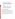US EPA ARCHIVE DOCUMENT

approximately 6 to 16 percent of annual sales, based on the projection of the individual statelevel estimates to the national level or a pooled estimate of around 10 percent.

| <b>State</b>               | Percent based on: |                   |        |  |  |  |
|----------------------------|-------------------|-------------------|--------|--|--|--|
|                            | <b>Households</b> | <b>Population</b> | Sales* |  |  |  |
| California                 | 9.4               | 8.5               | 7.5    |  |  |  |
| lowa                       | 5.7               | 6.0               |        |  |  |  |
| Oregon                     | 9.9               | 10.3              |        |  |  |  |
| Washington                 | 15.2              | 15.6              |        |  |  |  |
| Wisconsin                  | 11.1              | 11.5              |        |  |  |  |
| <b>All States Combined</b> | 10.4              | 9.9               |        |  |  |  |

#### **Table 25. Percent of Architectural Paint Sold in the U.S. that is Disposed**

Sources: U.S. Census Bureau, 2000(a); U.S. Census Bureau , 2000(b); CARB, 2003; CIWMB, 2004; data provided by Anna Ward, CIWMB, 2004, IA DNR, 1998; data provided by Theresa Stiner, IA DNR, 2004; OR DEQ, 2002(a); OR DEQ, 2002(b); data provided by Peter Spendelow, OR DEQ, 2004(b); WA ECY, 2003(a), and WA ECY, 2003(b).

\* Architectural coatings sales data not available by state, except for California. California's architectural coatings sales data are for 2000.

### **Alternative Estimation Methods**

Using the same data, this section presents two alternative methods for estimating the total quantity of post-consumer architectural paint sent to MSW landfills and incinerators, and collected by HHW programs in the U.S. In the first method, household data are used to estimate the quantity of paint disposed annually in the U.S., based on a pooling of the estimates developed for the 5 states. The second method uses population data to determine the same.

Table 26A presents the ratio of the total amount of architectural paint that is disposed of as MSW or HHW in the 5 states to the total number of households in these jurisdictions. This ratio (0.65 gallons per household) is then applied to the total number of households in the U.S. (105 million households (U.S. Census Bureau, 2000(a))), resulting in a national estimate of 69 million gallons of post-consumer architectural paint disposed annually.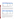| <b>State</b>           | Number of Households<br>(1,000s) | <b>Total Leftover Paint</b><br>(1,000 Gallons) | <b>Gallons per</b><br>Household |
|------------------------|----------------------------------|------------------------------------------------|---------------------------------|
| California             | 11,503                           | 7,163                                          | 0.62                            |
| lowa                   | 1.149                            | 385                                            | 0.34                            |
| Oregon                 | 1,334                            | 821                                            | 0.62                            |
| Washington             | 2,271                            | 2,155                                          | 0.95                            |
| Wisconsin              | 2,085                            | 1.491                                          | 0.72                            |
| <b>All Five States</b> | 18,342                           | 12,014                                         | 0.65                            |

#### **Table 26A. Gallons of Architectural Paint Disposed Annually Per Household for Five States (Based on the total number of households)**

Sources: U.S. Census Bureau, 2000(a); CIWMB, 2004; data provided by Anna Ward, CIWMB, 2004, IA DNR, 1998; data provided by Theresa Stiner, IA DNR, 2004; OR DEQ, 2002; data provided by Peter Spendelow, OR DEQ, 2004(b); WA ECY, 2003(a), and WA ECY, 2003(b).

Similarly, Table 26B presents the ratio of the total amount of paint disposed in the 5 states to the total population (all ages included<sup>7</sup>) in these states. This pooled ratio (0.23 gallons per person) is then applied to the total U.S. population (281 million people (U.S. Census Bureau, 2000(b))), resulting in a national estimate of 65 million gallons of post-consumer architectural paint disposed annually.

| Table 26B. Gallons of Architectural Paint Disposed Annually Per Person for Five States (Based on |  |
|--------------------------------------------------------------------------------------------------|--|
| the total population)                                                                            |  |

| <b>State</b>           | <b>Population</b><br>(1,000s) | <b>Total Leftover Paint</b><br>$(1,000$ Gallons) | <b>Gallons per Person</b> |
|------------------------|-------------------------------|--------------------------------------------------|---------------------------|
| California             | 33,872                        | 7,163                                            | 0.21                      |
| lowa                   | 2,926                         | 385                                              | 0.13                      |
| Oregon                 | 3,421                         | 821                                              | 0.24                      |
| Washington             | 5,894                         | 2,155                                            | 0.37                      |
| Wisconsin              | 5.364                         | 1.491                                            | 0.28                      |
| <b>All Five States</b> | 51,477                        | 12,014                                           | 0.23                      |

Sources: U.S. Census Bureau, 2000(b); CIWMB, 2004; data provided by Anna Ward, CIWMB, 2004, IA DNR, 1998; data provided by Theresa Stiner, IA DNR, 2004; OR DEQ, 2002; data provided by Peter Spendelow, OR DEQ, 2004(b); WA ECY, 2003(a), and WA ECY, 2003(b).

As was done previously in Table 25, we can compare these two national estimates of the amount of post-consumer architectural paint disposed annually to the amount of paint annually sold in the U.S. According to numbers from the U.S. Census Bureau, the estimated total quantity of architectural coatings sold in the U.S. (averaged over the different study years used for the 5

<sup>&</sup>lt;sup>7</sup> Another approach would be to use the population age 18 years and older to better reflect the population using paint.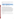states) was 662 million gallons (derived, U.S. Census Bureau, 1994-2004). Table 27 shows that around 10 percent of this can be estimated to be disposed annually, within the range presented in Table 25.

| Avg. Annual<br><b>Quantity of Architectural</b><br>Paint Sold in the U.S.*<br>(1,000 Gallons) |            | <b>Estimated Annual Quantity of</b><br>Architectural Paint Disposed in the<br>U.S. (1,000 Gallons), based on: | <b>Quantity of Architectural Paint</b><br><b>Disposed Annually as a Percent</b><br>of Sales (%) |  |
|-----------------------------------------------------------------------------------------------|------------|---------------------------------------------------------------------------------------------------------------|-------------------------------------------------------------------------------------------------|--|
| 661,790                                                                                       | Household  | 69.088                                                                                                        | 10.4                                                                                            |  |
|                                                                                               | Population | 65,678                                                                                                        | 9.9                                                                                             |  |

#### **Table 27. Percent of Architectural Paint Sold in the U.S. that is Disposed**

Source: U.S. Census Bureau

\* Averaged over the different study years used for each of the 5 states.

## **National Estimate Compared with PPSI Estimate**

The *PPSI Background Report* provided an estimate of the quantity of leftover paint generated annually in the U.S., based on data from California HHW and Washington MRW (HHW) collection programs, as well as U.S. Census data on population and households in each of the two states and the country as a whole, and an estimate of the percent of the population served by permanent or temporary HHW or MRW collection programs in the two states. The estimate was based on the assumption that existing HHW programs in the two states were collecting between 50 and 100 percent of leftover paint generated by residents served by those programs. The PPSI Background Report estimated the quantity of leftover paint generated in the U.S. to be in the range of 16 million to 35 million gallons per year, or 2.5 to 5 percent of annual paint sales (PPSI 2004a).

The national estimates presented in this report refine the estimate provided in the PPSI Background Report by:

 $\pm$  Incorporating HHW collection data from three additional states (lowa, Oregon and Wisconsin);

Estimating the actual quantity of paint collected by HHW programs and disposed via the MSW waste stream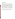# **4. Conclusions**

From the data examined in this report, it is estimated that when considering each of five individual state's projections to the national level, between 35 and 103 million gallons of postconsumer architectural paint (or between 6 and 16 percent of annual sales) is disposed of annually. Further, based on a pooled estimate of these five states, 66 to 69 million gallons of architectural paint are estimated to be disposed of each year. These quantities may not represent all of the leftover paint generated annually in the U.S. Some leftover paint is undoubtedly dried out by consumers outside of the original container, spilled down drains, or disposed of by contractors and large industrial, commercial and institutional users as solid or hazardous waste. On the other hand, there are also factors that may lead to over-estimation of the amount of leftover paint disposed annually. In addition, the estimates presented in this report do not account for the large quantity of leftover paint that is currently stockpiled in homes, nor do t hey provide a basis for determining if that stockpile is increasing or diminishing over time.

Nevertheless, these estimates may provide a useful measure of the total quantity of postconsumer architectural paint disposed in the U.S. each year, and a rough approximation of the percentage of paint sold each year that becomes leftover post-consumer waste.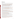# **References**

**US EPA ARCHIVE DOCUMENT** 

- Anderson, Brad, Sky Valley Associates. Personal communication with Anna Leos-Urbel on June 23, 2004.
- Association of Municipal Recycling Coordinators (AMRC), 2005. Household Hazardous Waste Baseline Composition Study, 2004. Accessed: http://www.productcare.org/documents/ON2004Study.pdf
- California Integrated Waste Management Board (CIWMB), 2001. California Integrated Waste Management Board, Board Meeting January 23-24, 2001. Agenda Item 23. Accessed: http://www.ciwmb.ca.gov/agendas/mtgdocs/2001/01/00004835.doc
- California Air Resource Board (CARB), 2003. 2001 Architectural Coatings Survey Final Report.
- Chamberlain, Mary, R.W. Beck Consulting, 2006. Personal communication with Amanda Morris on June 19, 2006.
- CIWMB, 1999. 1999 California Statewide Waste Characterization Study. Accessed: http://www.ciwmb.ca.gov/Publications/LocalAsst/34000009.doc
- CIWMB, 2000. California Integrated Waste Management Board, Board Meeting August 22-23, 2000. Agenda Item 37. Accessed: http://www.ciwmb.ca.gov/agendas/mtgdocs/2000/08/00004176.doc
- CIWMB, 2004. 2004 California Statewide Waste Disposal Characterization Study. Accessed: http://www.ciwmb.ca.gov/Publications/LocalAsst/34004005.doc
- Culbertson, John, R.W. Beck Consulting, 2004. Personal communication with Anna Leos-Urbel on May 19, 2004.
- Environment Canada (EC), 2002. Extended Producer Responsibility & Stewardship: An Inventory of Waste Diversion Programs in Canada. Accessed: http://www.ec.gc.ca/epr/inventory/en/DetailView.cfm?intInitiative=55
- Environmental Resources Center (ERC) Wisconsin Hazardous Waste Collection Programs-featuring households and very small quantity generators. Accessed: http://www.uwex.edu/erc/hazwste.html
- Hlavka, Rick, Green Solutions, 2006. Personal Communication with Jocelyn Siegel on June 20, 2006.
- Iowa Department of Natural Resources (IA DNR), 1998. Iowa Solid Waste Characterization. Accessed: http://www.iowadnr.com/waste/sw/files/charstudy.pdf

Kish, Leslie. 1965. *Survey Sampling*, John Wiley and Sons: New York.

Minnesota Solid Waste Management Coordinating Board (MN SWMCB), 2000. Statewide MSW Composition Study – A Study of Discards in the State of Minnesota. Accessed: http://www.moea.state.mn.us/publications/wastesort2000.pdf

National Family Opinion Research, Inc. (NFO), 1995. Consumer Architectural Coatings Disposal Study.

National Paints and Coatings Institute, 2004. 2001 Sales of Architectural Paint. Accessed: http://www.paint.org/ind\_info/ffarch.cfm

Nogas, Sue, U.S. EPA, 2004. Personal communication with Anna Leos-Urbel on May 20, 2004.

- Oregon Department of Environmental Quality (OR DEQ), 2000. Waste Characterization and Composition 2000 Report. Accessed: http://www.deq.state.or.us/wmc/solwaste/wcrep/wcrep2002.htm
- Oregon Department of Environmental Quality (OR DEQ), 2002(a). Waste Characterization and Composition 2002 Report. Accessed: http://www.deq.state.or.us/wmc/solwaste/wcrep/wccr2002.htm

**32**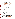- Oregon Department of Environmental Quality (OR DEQ) 2002(b). 2002 Oregon Recovery and Waste Generation Rates Report. Accessed: http://www.deq.state.or.us/wmc/solwaste/documents/2002MRSReport.pdf
- Pennsylvania Department of Environmental Protection (PA DEP), 2003. Statewide Waste Composition Study. Accessed:

http://www.dep.state.pa.us/dep/deputate/airwaste/wm/recycle/Waste\_Comp/Study.htm

- Product Stewardship Institute (PPSI), 2004a. Paint Product Stewardship: A Background Report for the National Dialogue on Paint Product Stewardship. Accessed: http://www.productstewardship.us/supportingdocs/DialoguePaintPS.doc
- Product Stewardship Institute (PPSI), 2004b. National Paint Infrastructure Collection System Modeling Executive Summary - DRAFT. Accessed: http://www.productstewardship.us/supportingdocs/CollecMdlsWtPaper41304.doc
- Quinn, Jim, Hazardous Waste Program Manager, Portland Metro, 2004. Personal communication with Jocelyn Siegel and Barry Elman on July 29, 2004.
- Spendelow, Peter, Oregon Department of Environmental Quality, 2004(a). Personal communication with Gaytri Bhatia, September 2004.
- Spendelow, Peter, Oregon Department of Environmental Quality, 2004(b). Personal communication with Gaytri Bhatia, December 2004.
- Spendelo w, Peter, Oregon Department of Environmental Quality, 2006(a). Personal communication with Gaytri Bhatia, April 2006.
- Spendelow, Peter, Oregon Department of Environmental Quality, 2006(b). Personal communication with Jocelyn Siegel, July 2006.
- State Library of Iowa, 2004. Iowa Census Data Tables: Counties. Accessed: http://www.silo.lib.ia.us/specializedservices/datacenter/datatables/CountyAll/cohhpihhpphh19702 000.pdf
- Stiner, Theresa, Iowa Department of Natural Resources, 2004. Personal communication with Anna Leos-Urbel on June 24, 2004.
- Tarnecki, Tanya, Cascadia Consulting Group, 2004. Personal communication with Anna Leos-Urbel on June 2, 2004.
- Tarnecki, Tanya, Cascadia Consulting Group, 2006. Personal communication with Jocelyn Siegel on July 7, 2006.
- United States Census Bureau, 2000(a) Census of Population, Profiles of General Demographic Characteristics. Accessed: http://factfinder.census.gov
- United States Census Bureau, 2000(b) Census of Population, Public Law 94-171 Redistricting Data File. Accessed: http://factfinder.census.gov
- United States Census Bureau, Current Industrial Reports, Paint and Allied Products: 2003.. November 2004. Accessed: http://www.census.gov/industry/1/ma325f03.pdf
- United States Census Bureau, Current Industrial Reports, Paint and Allied Products: 2004. September 2005. Accessed: http://www.census.gov/industry/1/ma325f04.pdf
- United States Environmental Protection Agency (U.S. EPA), 2001. Municipal Solid Waste in the United States – 2001 Facts and Figures. Accessed: http://www.epa.gov/epaoswer/nonhw/muncpl/msw99.htm#links

Ward, Anna, CIWMB, 2004. Personal communication with Anna Leos-Urbel on May 26, 2004.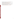- Washington Department of Ecology (WA ECY), 2003(a). Solid Waste in Washington State, Twelfth Annual Status Report. Accessed: http://www.ecy.wa.gov/pubs/0307019.pdf
- Washington Department of Ecology (WA ECY), 2003(b). Waste Composition Analysis for the State of Washington. (Prepared by Green Solutions). Accessed: http://www.rcap.org/swp/docs/Recycling/WaStateWasteComp.pdf
- Washington Department of Ecology (WA ECY), 1992. Combined WGA Material Type Summary for Washington State. Accessed: http://www.ecy.wa.gov/programs/swfa/solidwastedata/waste.asp
- Wisconsin Department of Natural Resources (WI DNR), 2002. Wisconsin Statewide Waste Characterization Study Summary 2002. Accessed: http://www.dnr.state.wi.us/org/aw/wm/publications/recycle/wrws-finalrpt.pdf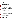# **Appendix A: Data Refinements and Other Considerations**

In conducting the analysis presented in this report, numerous factors were identified that could affect the results. This Appendix describes these factors and, where quantitative adjustments were made to the results, describes the methodology for doing so.

### **Data Refinements**

The national estimates presented in this report are based on data pertaining to the disposal of architectural latex and oil-based paint in the municipal solid waste stream, as well as data collected by household hazardous waste collection centers, as reported in studies from five states across the country. In combining individual state-level data sets to develop a national estimate, similarities and differences in definitions, assumptions, and data collection methodologies were examined to determine their possible effect on the results, and adjustments were made to the data when warranted. For example, the paint quantities reflected within some state MSW composition studies excluded the quantity of dried paint in containers that was sorted into a nonpaint category, or included the weight of the container with the paint weight. Adjustments were made to the results of these studies, where possible, to address such issues. This report assumes that household behavioral patterns associated with stockpiling and disposing of leftover paint are relatively consistent across the U.S. and so adjustments are not made for this variable. This section details all adjustments made to the state data in the course of developing the national estimates.

MSW Data Refinements. The various state MSW composition studies generally have consistent methodologies (as presented in the *Other Considerations* section below), but also present some measurable differences. For example, some studies include other materials such as solvents or thinners in their definition of "paint." Consequently, adjustments were made using the best obtainable data to make these studies more comparable before combining their data for the national estimate. Adjustments to MSW data are especially important as, from the available state data, it is apparent that paint in the MSW stream accounts for the majority of leftover paint.

HHW Data Refinements. In general, the five states analyzed have mature HHW collection programs that compile reliable data on the quantity of paint collected.

#### **Definition of "paint"**

The goal of this study was to examine latex and oil paint. However, some states may also include other materials in their definition of "paint."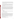In HHW collection efforts Washington includes contaminated latex paint (such as latex paint mixed with solvents, oil-based paints, dirt or garbage). Additionally, some HHW studies may record "paint" differently based on the available categories listed on data sheets. However, these factors were not expected to have a major impact on the results of this study, and data were not adjusted due to insufficient additional information.

In state MSW studies, two states explicitly included other materials in the paint category during their waste sorts: Iowa quantified "paints and solvents," and Oregon quantified "oil paint and thinners." In addition to these known factors, factors such as personal interpretation by the sorting crew could potentially make the categories different in ways that are not easy to detect. In Oregon and Iowa adjustments were made based on estimates of the portion of the combined categories that were paint.

In addition, the Association of Municipal Recycling Coordinators (AMRC)'s *2005 HHW Baseline Study* (conducted in Ontario Canada), indicates that latex and oil-based paint categories may also include quantities of other materials. For example, the "latex paint" category also includes stain, rust or metal paint, specialty paints, liquid plastic, and varnish. Similarly, the "oil-based paint" category includes other product types, such as: stain, driveway sealer, varnish, wood finish, and lacquer. Since sufficient data on the potential mix of materials in each paint category does not exist, with the exception of the adjustments detailed below, this analysis assumes that one hundred percent of the paint in the latex category is latex paint, and the same for the oil-based category.

#### **Adjustments made:**

- **D** *Iowa* excluded 10 percent (solvents)<sup>8</sup> from the total tons of paints and solvents in MSW (IA DNR, 1998).
- *Oregon* excluded 5 percent (thinners)<sup>9</sup> from the total tons of oil paint and thinners in MSW (averaged, OR DEQ, 2000 and 2002(a)).

#### **Architectural vs. Non-Architectural Paint**

The goal of this study was to estimate national quantities of *architectural* paint disposed, defined as paint used in and on buildings. However, all statewide MSW studies used in this analysis included both architectural and non-architectural paint in their "paint" category. From AMRC's 2005 Baseline Study, it was determined that, on average, 12 percent of the waste "paint" is comprised of non-architectural paint types. Specifically, the latex paint category was found to include 4 percent non-architectural products, while 27 percent of oil-based paints included nonarchitectural products. For the purposes of this analysis, each state's data was adjusted to exclude non-architectural paint, as presented below.

<sup>&</sup>lt;sup>8</sup> Based on conversations and data provided by Tanya Tarnecki of Cascadia Consulting, and Brad Anderson of Sky Valley Associates.

<sup>&</sup>lt;sup>9</sup> Per Brad Anderson, Sky Valley Associates, August 10, 2006.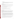#### **Adjustments made:**

� *California, Iowa, Oregon, Washington, and Wisconsin* – excluded 4 percent (non-architectural latex paints) from the total tons of latex paint and 27 percent (non-architectural oil-based paints) from the total tons of oil-based paint in MSW.

#### **Paint Weight**

Research indicates that the waste sorting protocols used in most waste characterization studies call for distinguishing between:

**EXECUTE:** empty paint containers (which are typically classified as the material of the container itself);

containers containing *dried* paint (which are typically classified as the material of the container or as a mixed material category); and

containers containing *liquid* paint (which are typically classified as paint).

This leads to two factors for consideration:

- whether dried paint is included in the overall paint estimate; and
- $\div$  whether the weight of the container is included in the overall paint estimate.

#### **Dried Paint Weight**

Most states do not include dried paint in their "paint" category<sup>10</sup>. Several studies indicate that increasingly, consumers are drying latex paint prior to disposal. It is important to understand the impact of dried paint on a national estimate. To do this, we considered three sources of information that indicate a substantial portion of dried paint can be expected in disposed containers.

 $\frac{1}{2}$  Many states and/or local communities advise their residents to dry out their leftover latex paint for disposal in the garbage or at a collection center. Even states like California that do not encourage this practice, nevertheless permit residents to dispose of dried latex paint in the MSW stream. Organizations such as the National Paint and Coatings Association (NPCA) also promote this approach. For example, NPCA's Six Point Program for Leftover Paints advises consumers to properly dispose of latex paint by drying it (as a last resort after reusing, recycling, and exchanging leftover paint). (NPCA 2004b).

 $\frac{1}{2}$  A survey conducted for NPCA in the mid 1990s sought to learn about the disposition of leftover paint, stain, thinners and similar materials in households. The survey was conducted in 1,000 households, by a national market research firm, National Family Opinion (NFO) using their

 $10$  Washington does include dried paint and Wisconsin includes dried oil-based paint only.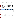nonprobability consumer panel sample. The study had an interview response rate of more than 70 percent. The study reported that, on a volume basis, 30 percent of leftover paint was from homes that use evaporation as a disposal method. (The survey did not ask the respondents to differentiate between latex and oil-based paint.) (NFO, 1995).

 $\pm$  The two Oregon waste characterization studies (2000 and 2002) included an analysis of contaminants in disposed waste. For this analysis, paint containers that were nearly empty or contained dried paint were included in the appropriate container category – non-food steel cans, rigid plastic containers, or mixed material – and then subject to contamination analysis. Paint found in these containers was scraped out, weighed, and then "added back" to the paint category. The amount of dried latex paint found in containers was fairly large, so a correction factor was produced. The Oregon contamination analysis provided the following results for 4 detailed samples containing paint in 2002 and 2 samples in 2000. It should be noted that this study alone does not constitute conclusive evidence regarding the quantity of dried paint that is disposed in containers in MSW, since it is based on a limited sample size. However, it does provide supporting evidence that a significant quantity of leftover paint may be dried out by the consumer prior to disposal in MSW. In addition, it suggests that a substantial percentage of latex paint is dried out prior to disposal in landfills and incinerators, but the percentage of oil-based paint that is dried out is negligible.

|                            | # Samples |      | Percent of Dry<br><b>Add-Backs</b> |       | <b>Contamination</b><br><b>Correction Factor (%)</b> |       | 90% Confidence<br><b>Intervals</b> |                       | Avg.<br><b>Contamination</b><br>Correction |
|----------------------------|-----------|------|------------------------------------|-------|------------------------------------------------------|-------|------------------------------------|-----------------------|--------------------------------------------|
|                            | 2000      | 2002 | 2000                               | 2002  | 2000                                                 | 2002  | 2000                               | 2002                  | Factor (%)                                 |
| Latex paint                |           | 3    | 30.40                              | 20.50 | 30.40                                                | 20.45 | (-12.75 to  <br>78.53)             | $(2.65)$ to<br>51.26) | 25.4                                       |
| Oil-based<br>paint/thinner |           |      | 4.40                               | 4.50  | 4.37                                                 | 4.52  | $(0.00)$ to<br>8.25)               | (0.47)<br>10.97)      | 4.5                                        |

#### **Table 28. Oregon contamination analysis in 2000 and 2002**

Source: OR DEQ, 2000 and 2002

It should be noted that despite the small sample sizes and large confidence intervals for latex paint, the two individual analyses present fairly consistent results.

The NPCA study suggests that about 30 percent of leftover paint may be dried out prior to disposal, and therefore would not be reflected in the paint quantity estimates developed by state waste composition studies. In order to fully capture the quantities of paint disposed, dried paint may be "added back" to these paint quantities. Because guidance to consumers to dry out paint only applies to latex paint, and considering that the Oregon contamination analyses show far more dried latex than dried oil-based paint in cans, the latex paint quantities in three state MSW studies were adjusted upward by 30 percent, while the oil-based paint quantities were left as-is. This adjustment does not factor in the following considerations, which are not resolvable due to the lack of data: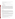$\ddotplus$  Weight of dried paint reported in the Oregon contamination analyses does not represent the original weight of the paint as a liquid.

 $\ddot{\phantom{1}}$  Consumers may be drying paint and disposing of it outside of containers.

#### **Adjustments made:**

� *California, Oregon, and Wisconsin* – added-back 30 percent (dried paint) to the total tons of latex paint in MSW.

#### **Residual (Liquid) Paint Weight**

Residual amounts of liquid paint in a container are categorized in some waste composition studies as mixed materials or the material of the container itself rather than as paint. The amount considered residual is subject to interpretation by the sorting crew, since most states have no definitive threshold. Waste composition study experts indicate that a container is categorized as "paint" if it contains *any* liquid paint (with the exception of Washington and Wisconsin, which categorize a container as "paint" when paint accounts for the majority of the combined container and paint weight). Because these distinctions in classification could not be quantified, residual liquid paint quantities in disposed containers are considered negligible and no adjustments were made.

#### **Container Weight**

Inclusion of container weight with paint weight was also considered in this analysis. For MSW, once a container is classified as "paint," the paint and its container are weighed and recorded within this category. The weight of the container therefore should be excluded from the paint quantities in order to develop a more accurate estimate. Detailed analyses documenting the type and size of container were not undertaken at this time. However, we look at the following studies to determine the portion of weight that is container alone:

An expert at Portland Metro<sup>11</sup> estimates that an average gallon paint container weighs 0.9 pounds, with gallon containers being the most common size. They further estimate that latex paint weighs between 10-11 pounds per gallon and oil-based paint weighs between 7-8 pounds per gallon, and that paint cans come into their HHW collection program, on average, 45 percent full.

**Product Care in British Columbia, Canada, estimates that approximately 20-25 percent of** the combined weight of the paint and containers it collects can be attributed to the containers. From these data, and given the weight of paint above, we estimate that on average containers in this program are 21 percent full.

 $11$  Based on conversations and data provided by Jim Quinn of Portland Metro.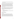$\pm$  The AMRC 2005 Baseline Study presents data on container quantity and residual paint quantities for oil and latex paints. From these data we estimate that latex and oil-based paint containers are 51 percent full.

It should be recognized, however, that paint containers collected by HHW programs might contain more paint, on average, than containers disposed in MSW landfills, although this has not been formally examined. As the amount of paint in a container decreases, the weight of the container, relative to that of its contents, increases. Due to the lack of hard evidence comparing the relative fullness of paint containers in HHW and MSW programs, this analysis assumes that containers in the MSW stream are half the fullness of those collected at HHW collection centers. Thus, averaging Portland Metro, Product Care, and AMRC's estimates on container fullness and assuming half this fullness for MSW, we estimate that 32 percent of the combined weight of the paint and containers can be attributed to the containers themselves and should be "backed out" from the overall paint weight.

In addition, it was learned that a portion of the paint coming to Iowa's HHW collection center was not bulked prior to weighing, thereby including the weight of the container. By averaging the estimates on container fullness from the above-mentioned studies, we estimate that 19 percent of the combined weight of the HHW paint and containers can be attributed to the containers themselves and should also be "backed out" from the overall paint weight.

#### **Adjustments made:**

- � *California, Iowa, Oregon, Washington, and Wisconsin*  excluded 32 percent (container weight) from the total tons of MSW paint estimates.
- � *Iowa*  excluded 19 percent (container weight) from the 57 tons of HHW paint known to include container weight.

### **Other Considerations**

#### **Paint Spillage**

Paint may spill from containers en route to the disposal location, where it is subsequently weighed. The loss of paint (presumably adhered to paper, food and other adjacent waste materials) would be reflected in an undercount of total paint at the disposal site. It is safe to assume that some cans may get crushed on the way to the landfill, and that lids may pop off. Per Brad Anderson, a consultant with Sky Valley Associates, approximately 1 percent of their waste characterization samples showed spilled paint, suggesting that spilled paint quantities are small. Sky Valley Associates does not quantify the percentage of paint containers that arrive with open lids.